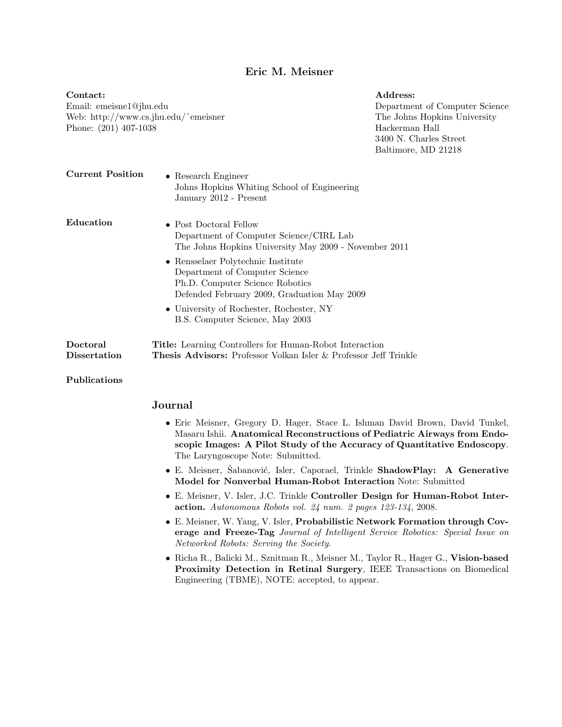## Eric M. Meisner

Contact: Email: emeisne1@jhu.edu Web: http://www.cs.jhu.edu/~emeisner Phone: (201) 407-1038 Address: Department of Computer Science The Johns Hopkins University Hackerman Hall 3400 N. Charles Street Baltimore, MD 21218 Current Position • Research Engineer Johns Hopkins Whiting School of Engineering January 2012 - Present Education • Post Doctoral Fellow Department of Computer Science/CIRL Lab The Johns Hopkins University May 2009 - November 2011 • Rensselaer Polytechnic Institute Department of Computer Science Ph.D. Computer Science Robotics Defended February 2009, Graduation May 2009 • University of Rochester, Rochester, NY B.S. Computer Science, May 2003 Doctoral Dissertation Title: Learning Controllers for Human-Robot Interaction Thesis Advisors: Professor Volkan Isler & Professor Jeff Trinkle Publications

## Journal

- Eric Meisner, Gregory D. Hager, Stace L. Ishman David Brown, David Tunkel, Masaru Ishii. Anatomical Reconstructions of Pediatric Airways from Endoscopic Images: A Pilot Study of the Accuracy of Quantitative Endoscopy. The Laryngoscope Note: Submitted.
- E. Meisner, Šabanović, Isler, Caporael, Trinkle ShadowPlay: A Generative Model for Nonverbal Human-Robot Interaction Note: Submitted
- E. Meisner, V. Isler, J.C. Trinkle Controller Design for Human-Robot Interaction. Autonomous Robots vol. 24 num. 2 pages 123-134, 2008.
- E. Meisner, W. Yang, V. Isler, Probabilistic Network Formation through Coverage and Freeze-Tag Journal of Intelligent Service Robotics: Special Issue on Networked Robots: Serving the Society.
- Richa R., Balicki M., Sznitman R., Meisner M., Taylor R., Hager G., Vision-based Proximity Detection in Retinal Surgery, IEEE Transactions on Biomedical Engineering (TBME), NOTE: accepted, to appear.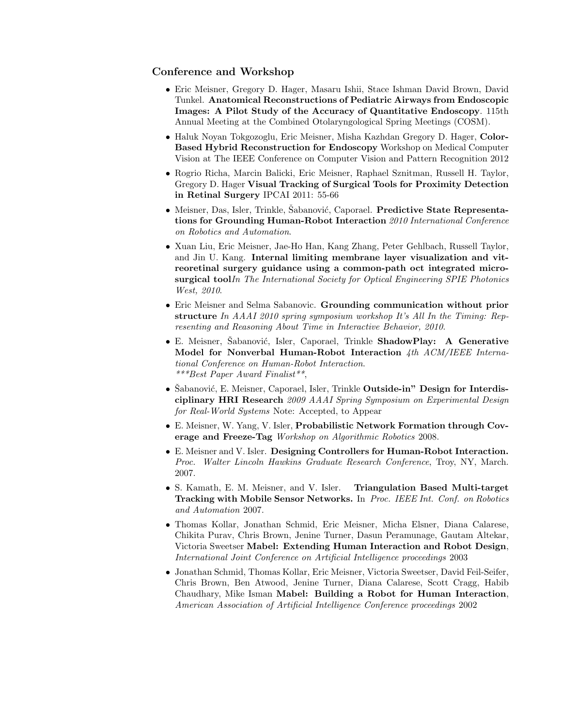## Conference and Workshop

- Eric Meisner, Gregory D. Hager, Masaru Ishii, Stace Ishman David Brown, David Tunkel. Anatomical Reconstructions of Pediatric Airways from Endoscopic Images: A Pilot Study of the Accuracy of Quantitative Endoscopy. 115th Annual Meeting at the Combined Otolaryngological Spring Meetings (COSM).
- Haluk Noyan Tokgozoglu, Eric Meisner, Misha Kazhdan Gregory D. Hager, Color-Based Hybrid Reconstruction for Endoscopy Workshop on Medical Computer Vision at The IEEE Conference on Computer Vision and Pattern Recognition 2012
- Rogrio Richa, Marcin Balicki, Eric Meisner, Raphael Sznitman, Russell H. Taylor, Gregory D. Hager Visual Tracking of Surgical Tools for Proximity Detection in Retinal Surgery IPCAI 2011: 55-66
- Meisner, Das, Isler, Trinkle, Šabanović, Caporael. Predictive State Representations for Grounding Human-Robot Interaction 2010 International Conference on Robotics and Automation.
- Xuan Liu, Eric Meisner, Jae-Ho Han, Kang Zhang, Peter Gehlbach, Russell Taylor, and Jin U. Kang. Internal limiting membrane layer visualization and vitreoretinal surgery guidance using a common-path oct integrated microsurgical toolIn The International Society for Optical Engineering SPIE Photonics West, 2010.
- Eric Meisner and Selma Sabanovic. Grounding communication without prior structure In AAAI 2010 spring symposium workshop It's All In the Timing: Representing and Reasoning About Time in Interactive Behavior, 2010.
- E. Meisner, Šabanović, Isler, Caporael, Trinkle ShadowPlay: A Generative Model for Nonverbal Human-Robot Interaction 4th ACM/IEEE International Conference on Human-Robot Interaction. \*\*\*Best Paper Award Finalist\*\*,
- Šabanović, E. Meisner, Caporael, Isler, Trinkle Outside-in" Design for Interdisciplinary HRI Research 2009 AAAI Spring Symposium on Experimental Design for Real-World Systems Note: Accepted, to Appear
- E. Meisner, W. Yang, V. Isler, Probabilistic Network Formation through Coverage and Freeze-Tag Workshop on Algorithmic Robotics 2008.
- E. Meisner and V. Isler. Designing Controllers for Human-Robot Interaction. Proc. Walter Lincoln Hawkins Graduate Research Conference, Troy, NY, March. 2007.
- S. Kamath, E. M. Meisner, and V. Isler. Triangulation Based Multi-target Tracking with Mobile Sensor Networks. In Proc. IEEE Int. Conf. on Robotics and Automation 2007.
- Thomas Kollar, Jonathan Schmid, Eric Meisner, Micha Elsner, Diana Calarese, Chikita Purav, Chris Brown, Jenine Turner, Dasun Peramunage, Gautam Altekar, Victoria Sweetser Mabel: Extending Human Interaction and Robot Design, International Joint Conference on Artificial Intelligence proceedings 2003
- Jonathan Schmid, Thomas Kollar, Eric Meisner, Victoria Sweetser, David Feil-Seifer, Chris Brown, Ben Atwood, Jenine Turner, Diana Calarese, Scott Cragg, Habib Chaudhary, Mike Isman Mabel: Building a Robot for Human Interaction, American Association of Artificial Intelligence Conference proceedings 2002